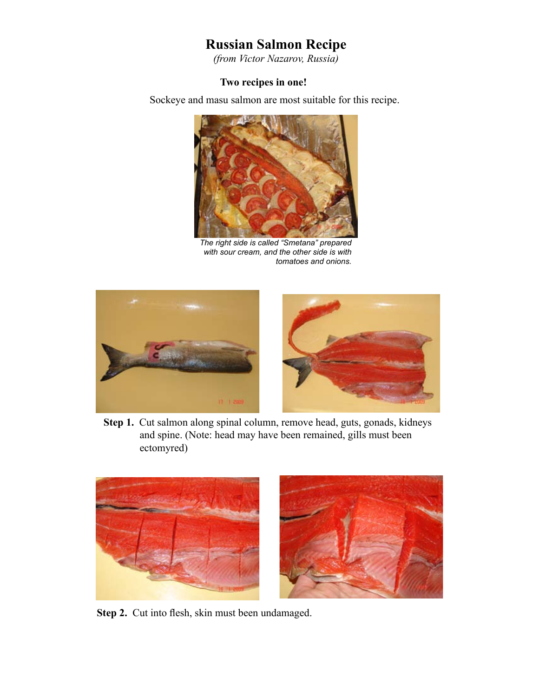## **Russian Salmon Recipe**

*(from Victor Nazarov, Russia)*

## **Two recipes in one!**

Sockeye and masu salmon are most suitable for this recipe.



*The right side is called "Smetana" prepared with sour cream, and the other side is with tomatoes and onions.*



Step 1. Cut salmon along spinal column, remove head, guts, gonads, kidneys and spine. (Note: head may have been remained, gills must been ectomyred)



**Step 2.** Cut into flesh, skin must been undamaged.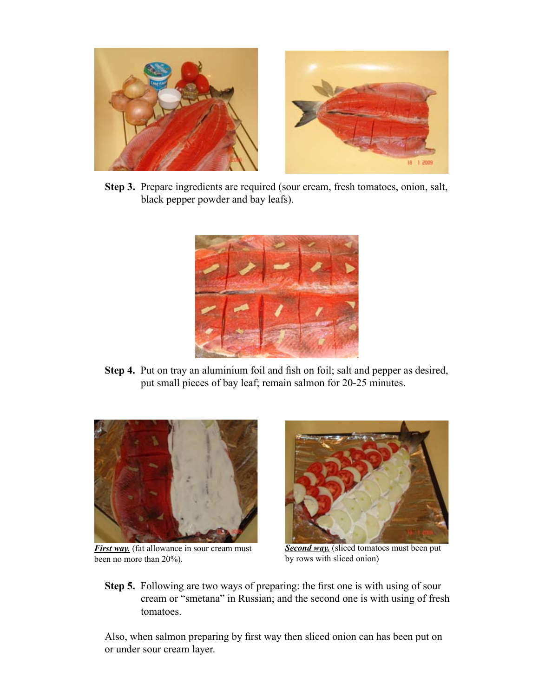

**Step 3.** Prepare ingredients are required (sour cream, fresh tomatoes, onion, salt, black pepper powder and bay leafs).



**Step 4.** Put on tray an aluminium foil and fish on foil; salt and pepper as desired, put small pieces of bay leaf; remain salmon for 20-25 minutes.



*First way.* (fat allowance in sour cream must been no more than 20%).



**Second way.** (sliced tomatoes must been put by rows with sliced onion)

**Step 5.** Following are two ways of preparing: the first one is with using of sour cream or "smetana" in Russian; and the second one is with using of fresh tomatoes.

Also, when salmon preparing by first way then sliced onion can has been put on or under sour cream layer.